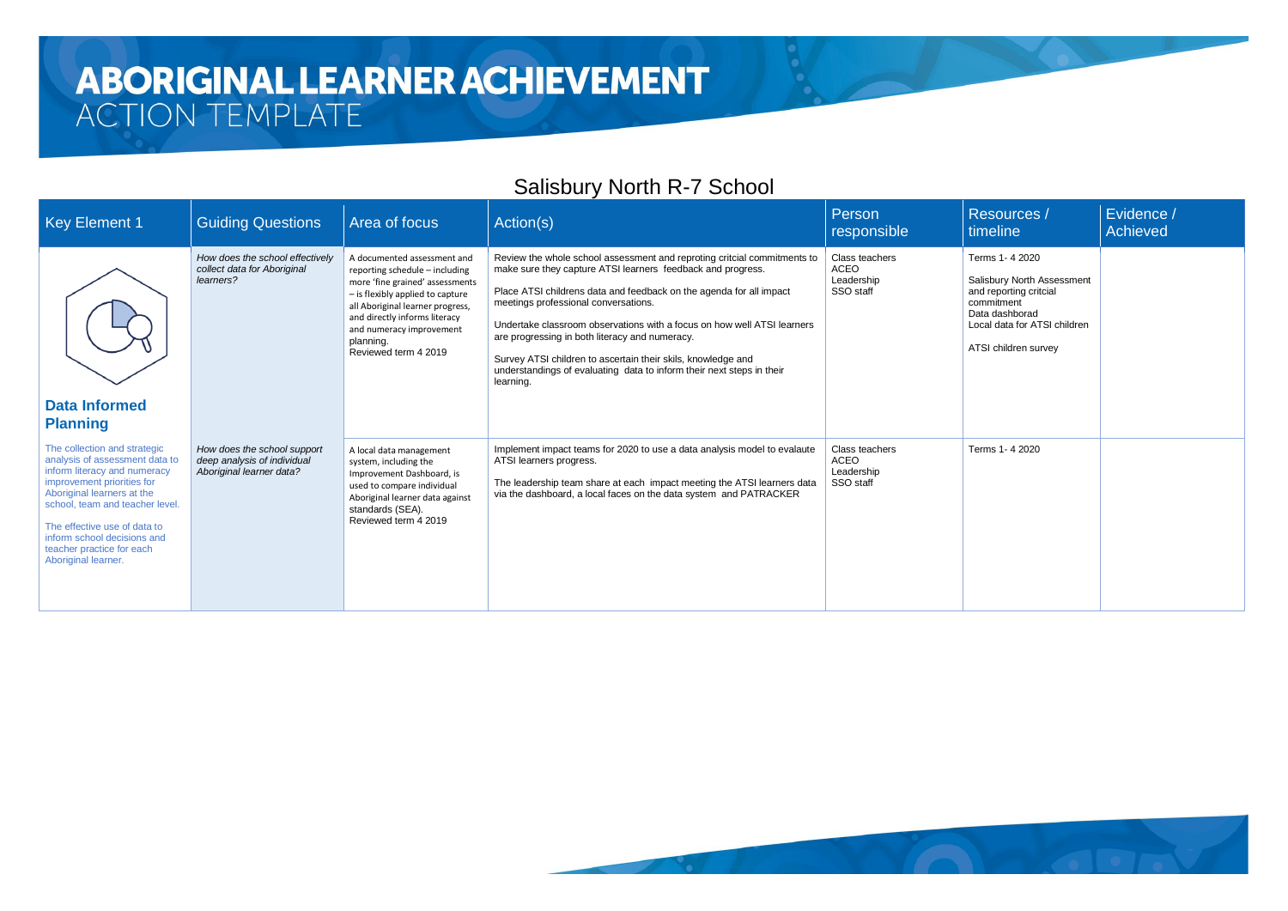#### **ABORIGINAL LEARNER ACHIEVEMENT** ACTION TEMPLATE

#### Salisbury North R-7 School

| <b>Key Element 1</b>                                                                                                                                                                                                                                                                                             | <b>Guiding Questions</b>                                                               | Area of focus                                                                                                                                                                                                                                                              | Action(s)                                                                                                                                                                                                                                                                                                                                                                                                                                                                                                                                 | Person<br>responsible                                    |  |
|------------------------------------------------------------------------------------------------------------------------------------------------------------------------------------------------------------------------------------------------------------------------------------------------------------------|----------------------------------------------------------------------------------------|----------------------------------------------------------------------------------------------------------------------------------------------------------------------------------------------------------------------------------------------------------------------------|-------------------------------------------------------------------------------------------------------------------------------------------------------------------------------------------------------------------------------------------------------------------------------------------------------------------------------------------------------------------------------------------------------------------------------------------------------------------------------------------------------------------------------------------|----------------------------------------------------------|--|
| <b>Data Informed</b><br><b>Planning</b>                                                                                                                                                                                                                                                                          | How does the school effectively<br>collect data for Aboriginal<br>learners?            | A documented assessment and<br>reporting schedule - including<br>more 'fine grained' assessments<br>- is flexibly applied to capture<br>all Aboriginal learner progress,<br>and directly informs literacy<br>and numeracy improvement<br>planning.<br>Reviewed term 4 2019 | Review the whole school assessment and reproting critcial commitments to<br>make sure they capture ATSI learners feedback and progress.<br>Place ATSI childrens data and feedback on the agenda for all impact<br>meetings professional conversations.<br>Undertake classroom observations with a focus on how well ATSI learners<br>are progressing in both literacy and numeracy.<br>Survey ATSI children to ascertain their skils, knowledge and<br>understandings of evaluating data to inform their next steps in their<br>learning. | Class teachers<br><b>ACEO</b><br>Leadership<br>SSO staff |  |
| The collection and strategic<br>analysis of assessment data to<br>inform literacy and numeracy<br>improvement priorities for<br>Aboriginal learners at the<br>school, team and teacher level.<br>The effective use of data to<br>inform school decisions and<br>teacher practice for each<br>Aboriginal learner. | How does the school support<br>deep analysis of individual<br>Aboriginal learner data? | A local data management<br>system, including the<br>Improvement Dashboard, is<br>used to compare individual<br>Aboriginal learner data against<br>standards (SEA).<br>Reviewed term 4 2019                                                                                 | Implement impact teams for 2020 to use a data analysis model to evalaute<br>ATSI learners progress.<br>The leadership team share at each impact meeting the ATSI learners data<br>via the dashboard, a local faces on the data system and PATRACKER                                                                                                                                                                                                                                                                                       | Class teachers<br><b>ACEO</b><br>Leadership<br>SSO staff |  |



| <b>Resources /</b><br>timeline                                                                                       | Evidence /<br><b>Achieved</b> |
|----------------------------------------------------------------------------------------------------------------------|-------------------------------|
| Terms 1-4 2020                                                                                                       |                               |
| Salisbury North Assessment<br>and reporting critcial<br>commitment<br>Data dashborad<br>Local data for ATSI children |                               |
| ATSI children survey                                                                                                 |                               |
| Terms 1-4 2020                                                                                                       |                               |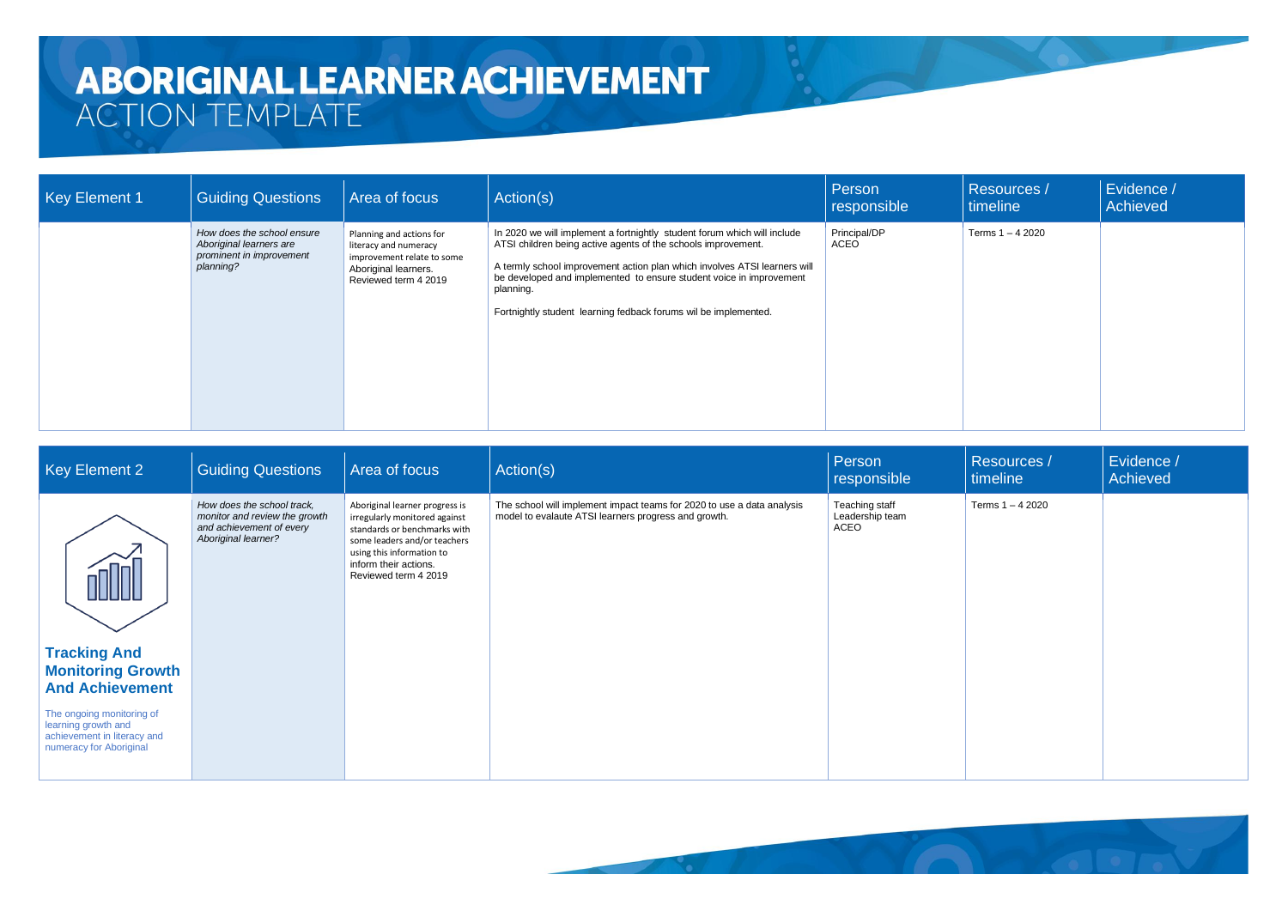| Key Element 1 | <b>Guiding Questions</b>                                                                       | Area of focus                                                                                                                   | Action(s)                                                                                                                                                                                                                                                                                                                                                                     | Person<br>responsible | <b>Resources</b> /<br>timeline | Evidence /<br>Achieved |
|---------------|------------------------------------------------------------------------------------------------|---------------------------------------------------------------------------------------------------------------------------------|-------------------------------------------------------------------------------------------------------------------------------------------------------------------------------------------------------------------------------------------------------------------------------------------------------------------------------------------------------------------------------|-----------------------|--------------------------------|------------------------|
|               | How does the school ensure<br>Aboriginal learners are<br>prominent in improvement<br>planning? | Planning and actions for<br>literacy and numeracy<br>improvement relate to some<br>Aboriginal learners.<br>Reviewed term 4 2019 | In 2020 we will implement a fortnightly student forum which will include<br>ATSI children being active agents of the schools improvement.<br>A termly school improvement action plan which involves ATSI learners will<br>be developed and implemented to ensure student voice in improvement<br>planning.<br>Fortnightly student learning fedback forums wil be implemented. | Principal/DP<br>ACEO  | Terms 1 - 4 2020               |                        |

| Key Element 2                                                                                              | <b>Guiding Questions</b>                                                                                       | Area of focus                                                                                                                                                                                                 | Action(s)                                                                                                                      | Person<br>responsible                     | Resources /<br>timeline | Evidence /<br>Achieved |
|------------------------------------------------------------------------------------------------------------|----------------------------------------------------------------------------------------------------------------|---------------------------------------------------------------------------------------------------------------------------------------------------------------------------------------------------------------|--------------------------------------------------------------------------------------------------------------------------------|-------------------------------------------|-------------------------|------------------------|
| <b>nn</b>                                                                                                  | How does the school track,<br>monitor and review the growth<br>and achievement of every<br>Aboriginal learner? | Aboriginal learner progress is<br>irregularly monitored against<br>standards or benchmarks with<br>some leaders and/or teachers<br>using this information to<br>inform their actions.<br>Reviewed term 4 2019 | The school will implement impact teams for 2020 to use a data analysis<br>model to evalaute ATSI learners progress and growth. | Teaching staff<br>Leadership team<br>ACEO | Terms 1 - 4 2020        |                        |
| <b>Tracking And</b><br><b>Monitoring Growth</b><br><b>And Achievement</b>                                  |                                                                                                                |                                                                                                                                                                                                               |                                                                                                                                |                                           |                         |                        |
| The ongoing monitoring of<br>learning growth and<br>achievement in literacy and<br>numeracy for Aboriginal |                                                                                                                |                                                                                                                                                                                                               |                                                                                                                                |                                           |                         |                        |

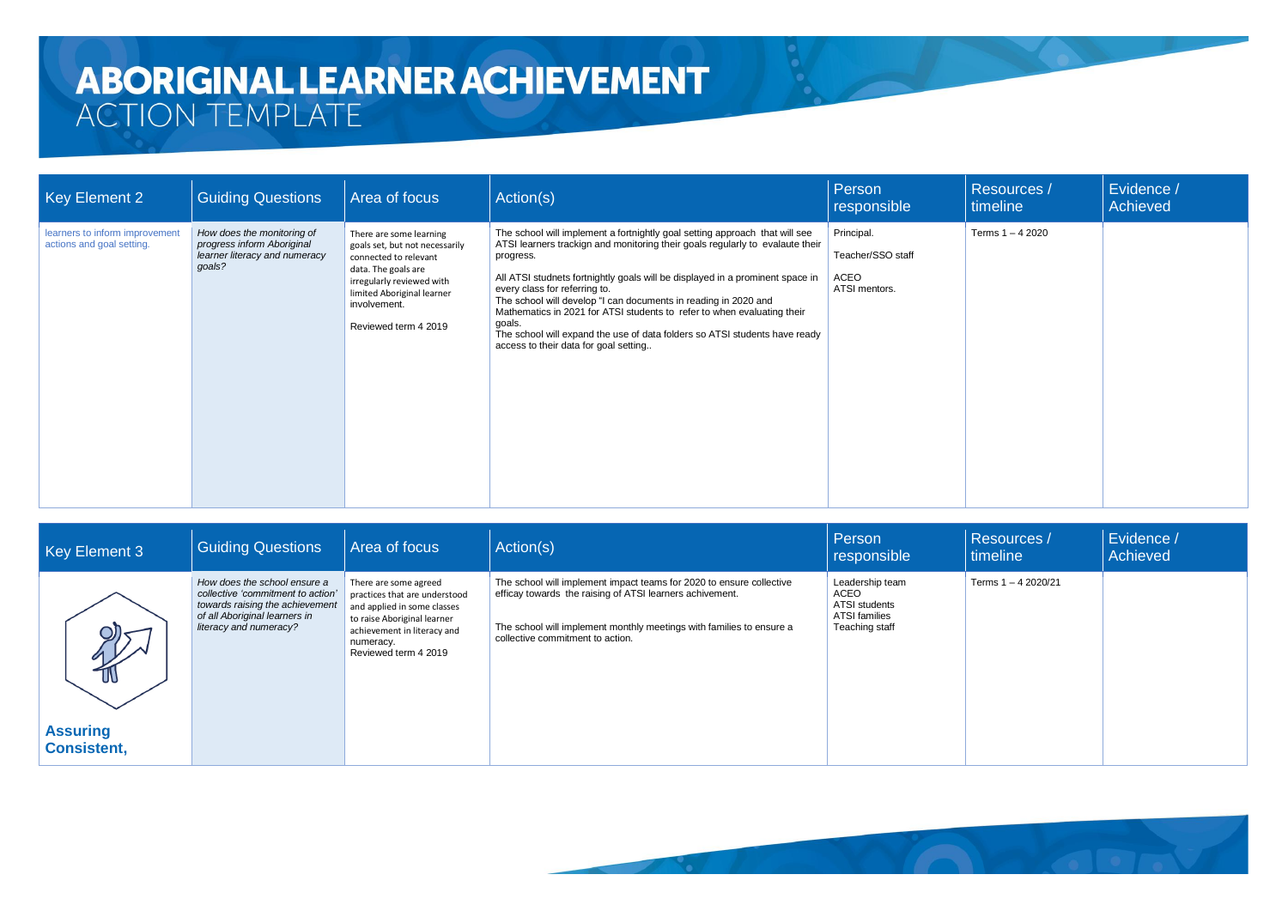| Key Element 2                                               | <b>Guiding Questions</b>                                                                            | Area of focus                                                                                                                                                                                                | Action(s)                                                                                                                                                                                                                                                                                                                                                                                                                                                                                                                                                                  | Person<br>responsible                                    | <b>Resources /</b><br>timeline | Evidence /<br>Achieved |
|-------------------------------------------------------------|-----------------------------------------------------------------------------------------------------|--------------------------------------------------------------------------------------------------------------------------------------------------------------------------------------------------------------|----------------------------------------------------------------------------------------------------------------------------------------------------------------------------------------------------------------------------------------------------------------------------------------------------------------------------------------------------------------------------------------------------------------------------------------------------------------------------------------------------------------------------------------------------------------------------|----------------------------------------------------------|--------------------------------|------------------------|
| learners to inform improvement<br>actions and goal setting. | How does the monitoring of<br>progress inform Aboriginal<br>learner literacy and numeracy<br>goals? | There are some learning<br>goals set, but not necessarily<br>connected to relevant<br>data. The goals are<br>irregularly reviewed with<br>limited Aboriginal learner<br>involvement.<br>Reviewed term 4 2019 | The school will implement a fortnightly goal setting approach that will see<br>ATSI learners trackign and monitoring their goals regularly to evalaute their<br>progress.<br>All ATSI studnets fortnightly goals will be displayed in a prominent space in<br>every class for referring to.<br>The school will develop "I can documents in reading in 2020 and<br>Mathematics in 2021 for ATSI students to refer to when evaluating their<br>goals.<br>The school will expand the use of data folders so ATSI students have ready<br>access to their data for goal setting | Principal.<br>Teacher/SSO staff<br>ACEO<br>ATSI mentors. | Terms 1 - 4 2020               |                        |

| Key Element 3                         | <b>Guiding Questions</b>                                                                                                                                        | Area of focus                                                                                                                                                                            | Action(s)                                                                                                                                                                                                                                    | Person<br>responsible                                                       | <b>Resources /</b><br>timeline | Evidence /<br>Achieved |
|---------------------------------------|-----------------------------------------------------------------------------------------------------------------------------------------------------------------|------------------------------------------------------------------------------------------------------------------------------------------------------------------------------------------|----------------------------------------------------------------------------------------------------------------------------------------------------------------------------------------------------------------------------------------------|-----------------------------------------------------------------------------|--------------------------------|------------------------|
| Q)<br>$\frac{1}{10}$                  | How does the school ensure a<br>collective 'commitment to action'<br>towards raising the achievement<br>of all Aboriginal learners in<br>literacy and numeracy? | There are some agreed<br>practices that are understood<br>and applied in some classes<br>to raise Aboriginal learner<br>achievement in literacy and<br>numeracy.<br>Reviewed term 4 2019 | The school will implement impact teams for 2020 to ensure collective<br>efficay towards the raising of ATSI learners achivement.<br>The school will implement monthly meetings with families to ensure a<br>collective commitment to action. | Leadership team<br>ACEO<br>ATSI students<br>ATSI families<br>Teaching staff | Terms 1 - 4 2020/21            |                        |
| <b>Assuring</b><br><b>Consistent,</b> |                                                                                                                                                                 |                                                                                                                                                                                          |                                                                                                                                                                                                                                              |                                                                             |                                |                        |

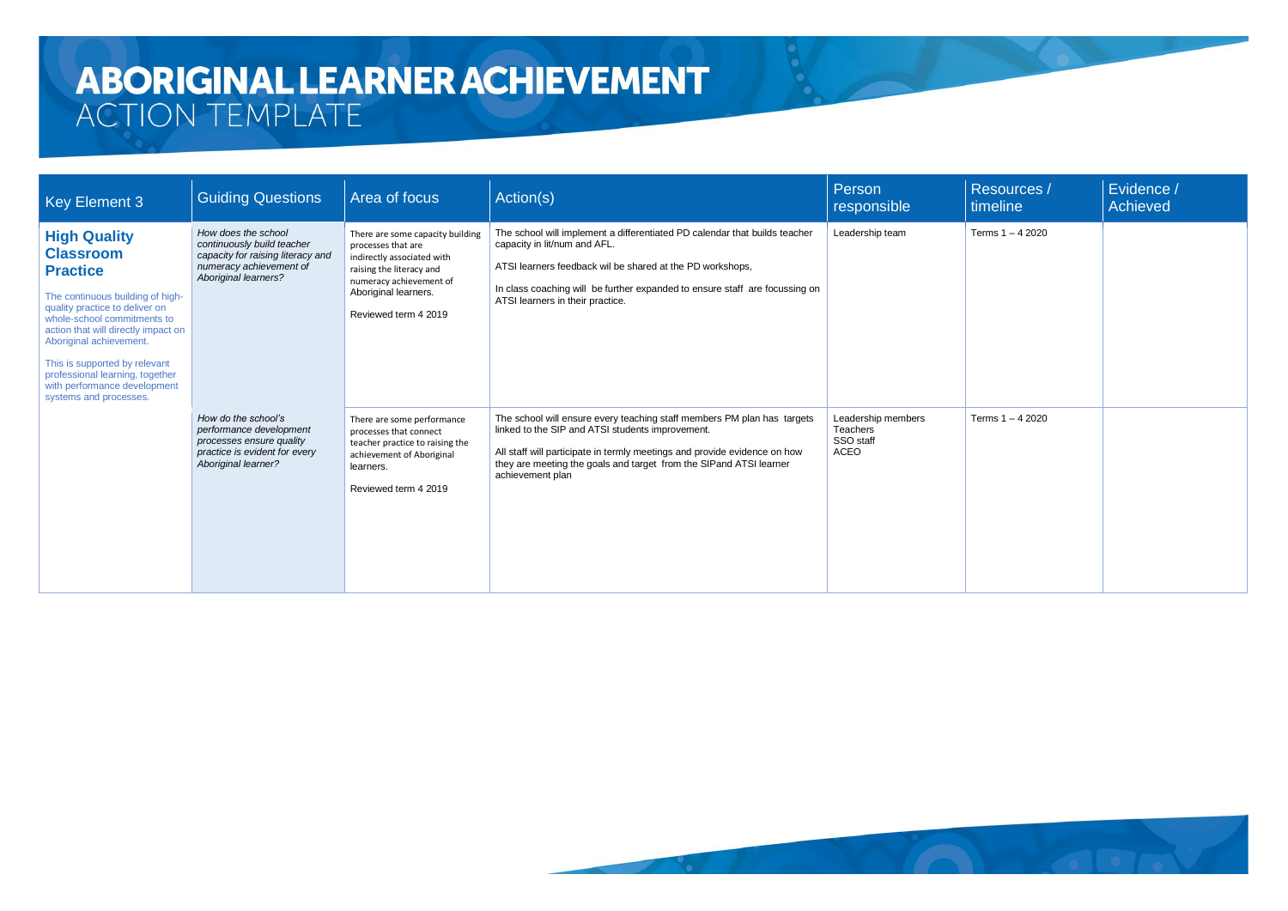| <b>Key Element 3</b>                                                                                                                                                                                                                                                                                                                                            | <b>Guiding Questions</b>                                                                                                                  | Area of focus                                                                                                                                                                               | Action(s)                                                                                                                                                                                                                                                                                          | Person<br>responsible                                      | Resources /<br>timeline | Evidence /<br>Achieved |
|-----------------------------------------------------------------------------------------------------------------------------------------------------------------------------------------------------------------------------------------------------------------------------------------------------------------------------------------------------------------|-------------------------------------------------------------------------------------------------------------------------------------------|---------------------------------------------------------------------------------------------------------------------------------------------------------------------------------------------|----------------------------------------------------------------------------------------------------------------------------------------------------------------------------------------------------------------------------------------------------------------------------------------------------|------------------------------------------------------------|-------------------------|------------------------|
| <b>High Quality</b><br><b>Classroom</b><br><b>Practice</b><br>The continuous building of high-<br>quality practice to deliver on<br>whole-school commitments to<br>action that will directly impact on<br>Aboriginal achievement.<br>This is supported by relevant<br>professional learning, together<br>with performance development<br>systems and processes. | How does the school<br>continuously build teacher<br>capacity for raising literacy and<br>numeracy achievement of<br>Aboriginal learners? | There are some capacity building<br>processes that are<br>indirectly associated with<br>raising the literacy and<br>numeracy achievement of<br>Aboriginal learners.<br>Reviewed term 4 2019 | The school will implement a differentiated PD calendar that builds teacher<br>capacity in lit/num and AFL.<br>ATSI learners feedback wil be shared at the PD workshops,<br>In class coaching will be further expanded to ensure staff are focussing on<br>ATSI learners in their practice.         | Leadership team                                            | Terms 1 - 4 2020        |                        |
|                                                                                                                                                                                                                                                                                                                                                                 | How do the school's<br>performance development<br>processes ensure quality<br>practice is evident for every<br>Aboriginal learner?        | There are some performance<br>processes that connect<br>teacher practice to raising the<br>achievement of Aboriginal<br>learners.<br>Reviewed term 4 2019                                   | The school will ensure every teaching staff members PM plan has targets<br>linked to the SIP and ATSI students improvement.<br>All staff will participate in termly meetings and provide evidence on how<br>they are meeting the goals and target from the SIPand ATSI learner<br>achievement plan | Leadership members<br>Teachers<br>SSO staff<br><b>ACEO</b> | Terms $1 - 42020$       |                        |

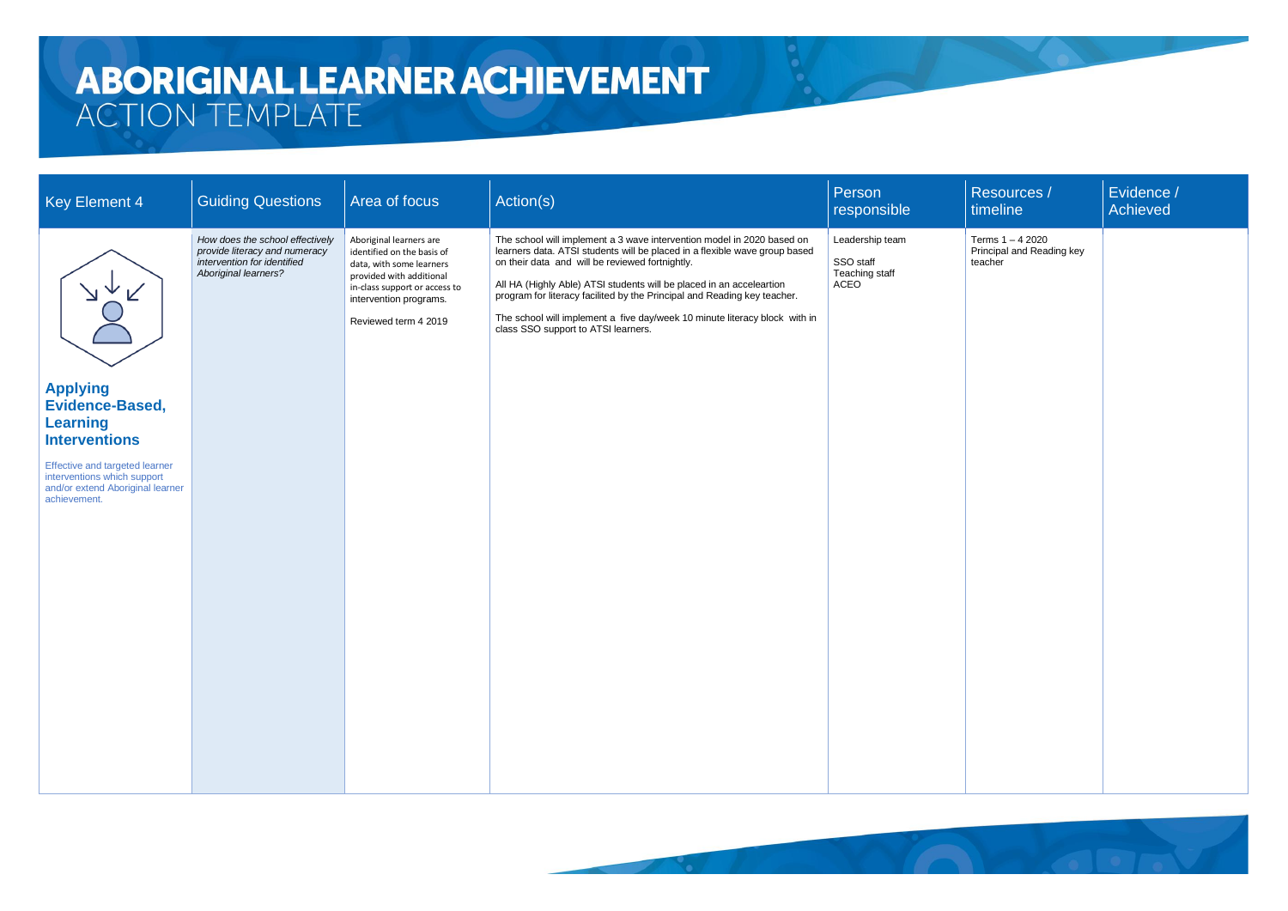| <b>Key Element 4</b>                                                                                              | <b>Guiding Questions</b>                                                                                                | Area of focus                                                                                                                                                                                    | Action(s)                                                                                                                                                                                                                                                                                                                                                                                                                                                                        | Person<br>responsible                                  | Resources /<br>timeline                                  | Evidence /<br>Achieved |
|-------------------------------------------------------------------------------------------------------------------|-------------------------------------------------------------------------------------------------------------------------|--------------------------------------------------------------------------------------------------------------------------------------------------------------------------------------------------|----------------------------------------------------------------------------------------------------------------------------------------------------------------------------------------------------------------------------------------------------------------------------------------------------------------------------------------------------------------------------------------------------------------------------------------------------------------------------------|--------------------------------------------------------|----------------------------------------------------------|------------------------|
| <b>Applying</b>                                                                                                   | How does the school effectively<br>provide literacy and numeracy<br>intervention for identified<br>Aboriginal learners? | Aboriginal learners are<br>identified on the basis of<br>data, with some learners<br>provided with additional<br>in-class support or access to<br>intervention programs.<br>Reviewed term 4 2019 | The school will implement a 3 wave intervention model in 2020 based on<br>learners data. ATSI students will be placed in a flexible wave group based<br>on their data and will be reviewed fortnightly.<br>All HA (Highly Able) ATSI students will be placed in an acceleartion<br>program for literacy facilited by the Principal and Reading key teacher.<br>The school will implement a five day/week 10 minute literacy block with in<br>class SSO support to ATSI learners. | Leadership team<br>SSO staff<br>Teaching staff<br>ACEO | Terms 1 - 4 2020<br>Principal and Reading key<br>teacher |                        |
| <b>Evidence-Based,</b><br><b>Learning</b><br><b>Interventions</b>                                                 |                                                                                                                         |                                                                                                                                                                                                  |                                                                                                                                                                                                                                                                                                                                                                                                                                                                                  |                                                        |                                                          |                        |
| Effective and targeted learner<br>interventions which support<br>and/or extend Aboriginal learner<br>achievement. |                                                                                                                         |                                                                                                                                                                                                  |                                                                                                                                                                                                                                                                                                                                                                                                                                                                                  |                                                        |                                                          |                        |

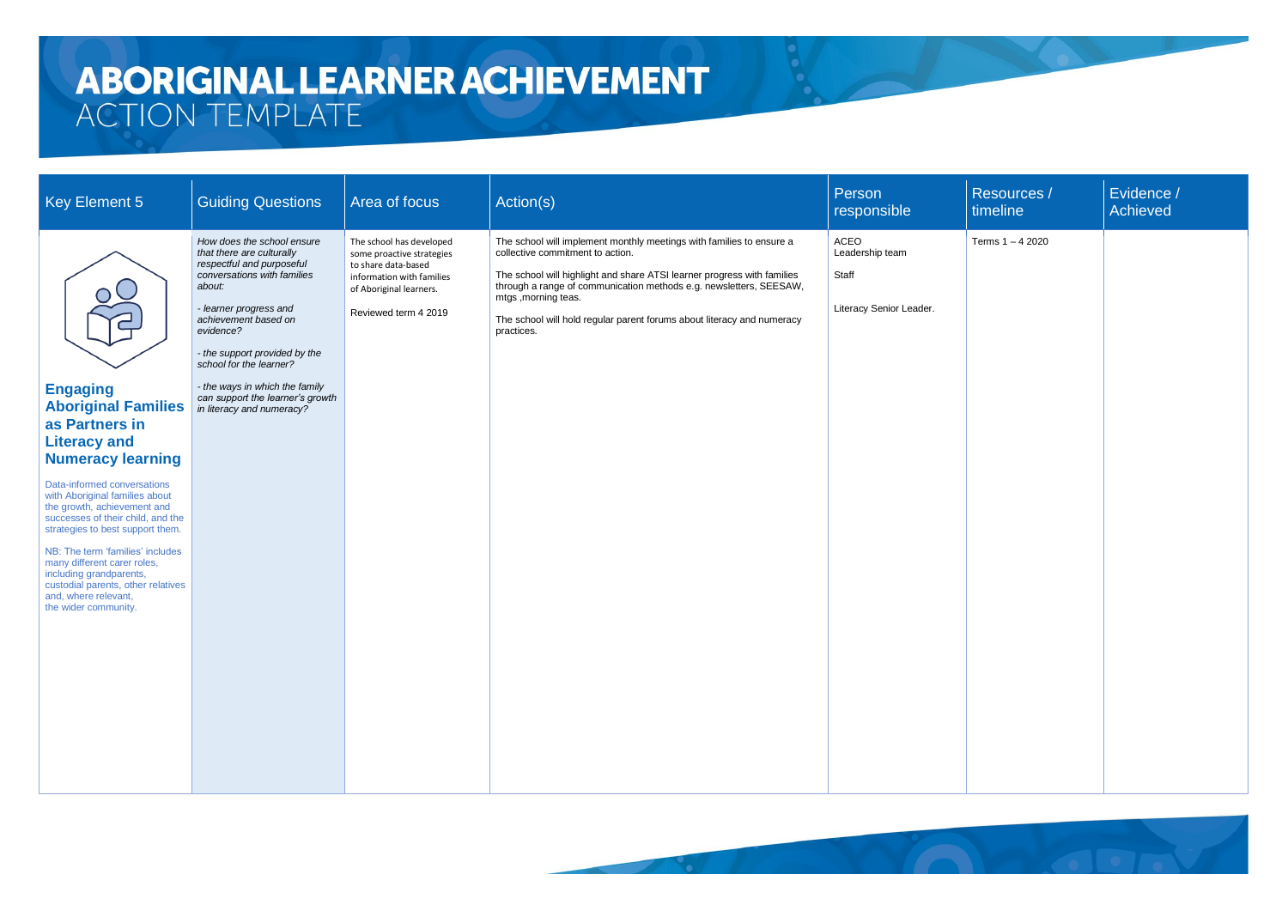| <b>Key Element 5</b>                                                                                                                                                                                                                                                                                                                                                                                                                                                                  | <b>Guiding Questions</b>                                                                                                                                                                                                                                                                                                                                    | Area of focus                                                                                                                                                | Action(s)                                                                                                                                                                                                                                                                                                                                                                | Person<br>responsible                                       | Resources /<br>timeline | Evidence /<br>Achieved |
|---------------------------------------------------------------------------------------------------------------------------------------------------------------------------------------------------------------------------------------------------------------------------------------------------------------------------------------------------------------------------------------------------------------------------------------------------------------------------------------|-------------------------------------------------------------------------------------------------------------------------------------------------------------------------------------------------------------------------------------------------------------------------------------------------------------------------------------------------------------|--------------------------------------------------------------------------------------------------------------------------------------------------------------|--------------------------------------------------------------------------------------------------------------------------------------------------------------------------------------------------------------------------------------------------------------------------------------------------------------------------------------------------------------------------|-------------------------------------------------------------|-------------------------|------------------------|
| OC<br><b>Engaging</b><br><b>Aboriginal Families</b><br>as Partners in<br><b>Literacy and</b><br><b>Numeracy learning</b><br>Data-informed conversations<br>with Aboriginal families about<br>the growth, achievement and<br>successes of their child, and the<br>strategies to best support them.<br>NB: The term 'families' includes<br>many different carer roles,<br>including grandparents,<br>custodial parents, other relatives<br>and, where relevant,<br>the wider community. | How does the school ensure<br>that there are culturally<br>respectful and purposeful<br>conversations with families<br>about:<br>- learner progress and<br>achievement based on<br>evidence?<br>- the support provided by the<br>school for the learner?<br>- the ways in which the family<br>can support the learner's growth<br>in literacy and numeracy? | The school has developed<br>some proactive strategies<br>to share data-based<br>information with families<br>of Aboriginal learners.<br>Reviewed term 4 2019 | The school will implement monthly meetings with families to ensure a<br>collective commitment to action.<br>The school will highlight and share ATSI learner progress with families<br>through a range of communication methods e.g. newsletters, SEESAW,<br>mtgs, morning teas.<br>The school will hold regular parent forums about literacy and numeracy<br>practices. | ACEO<br>Leadership team<br>Staff<br>Literacy Senior Leader. | Terms 1-4 2020          |                        |